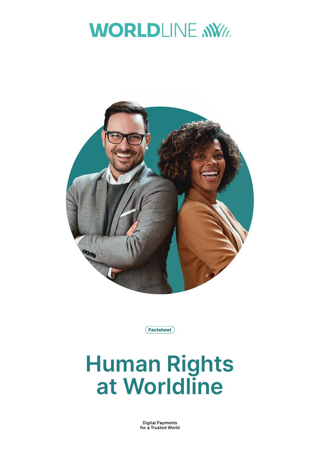## **WORLDLINE NWW**





# **Human Rights at Worldline**

**Digital Payments** for a Trusted World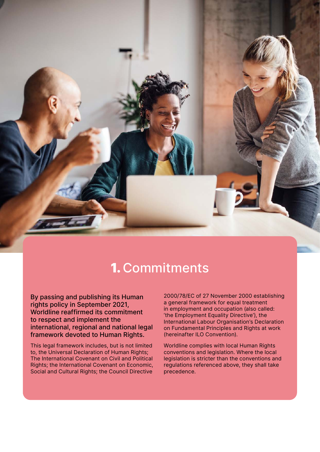

## 1. Commitments

By passing and publishing its Human rights policy in September 2021, Worldline reaffirmed its commitment to respect and implement the international, regional and national legal framework devoted to Human Rights.

This legal framework includes, but is not limited to, the Universal Declaration of Human Rights; The International Covenant on Civil and Political Rights; the International Covenant on Economic, Social and Cultural Rights; the Council Directive

2000/78/EC of 27 November 2000 establishing a general framework for equal treatment in employment and occupation (also called: 'the Employment Equality Directive'), the International Labour Organisation's Declaration on Fundamental Principles and Rights at work (hereinafter ILO Convention).

Worldline complies with local Human Rights conventions and legislation. Where the local legislation is stricter than the conventions and regulations referenced above, they shall take precedence.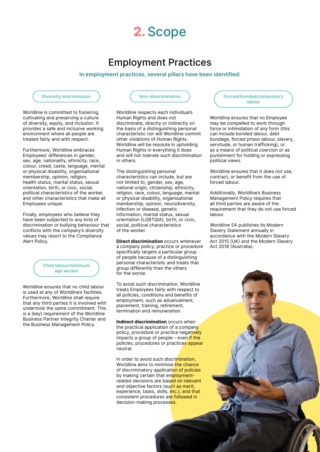

### Employment Practices

#### **In employment practices, several pillars have been identified:**

#### **Diversity and inclusion**

Worldline is committed to fostering, cultivating and preserving a culture of diversity, equity, and inclusion. It provides a safe and inclusive working environment where all people are treated fairly and with respect.

Furthermore, Worldline embraces Employees' differences in gender, sex, age, nationality, ethnicity, race, colour, creed, caste, language, mental or physical disability, organisational membership, opinion, religion, health status, marital status, sexual orientation, birth, or civic, social, political characteristics of the worker, and other characteristics that make all Employees unique.

Finally, employees who believe they have been subjected to any kind of discrimination or bullying behaviour that conflicts with the company's diversity values may resort to the Compliance Alert Policy.



Worldline ensures that no child labour is used at any of Worldline's facilities. Furthermore, Worldline shall require that any third parties it is involved with undertook the same commitment. This is a (key) requirement of the Worldline Business Partner Integrity Charter and the Business Management Policy.

**Non-discrimination**

Worldline respects each individual's Human Rights and does not discriminate, directly or indirectly on the basis of a distinguishing personal characteristic nor will Worldline commit other violations of Human Rights. Worldline will be resolute in upholding Human Rights in everything it does and will not tolerate such discrimination in others.

The distinguishing personal characteristics can include, but are not limited to, gender, sex, age, national origin, citizenship, ethnicity, religion, race, colour, language, mental or physical disability, organisational membership, opinion, neurodiversity, infection or disease, genetic information, marital status, sexual orientation (LGBTQIA), birth, or civic, social, political characteristics of the worker.

**Direct discrimination** occurs whenever a company policy, practice or procedure specifically targets a particular group of people because of a distinguishing personal characteristic and treats that group differently than the others for the worse.

To avoid such discrimination, Worldline treats Employees fairly with respect to all policies, conditions and benefits of employment, such as advancement, placement, training, retirement, termination and remuneration.

**Indirect discrimination** occurs when the practical application of a company policy, procedure or practice negatively impacts a group of people  $-$  even if the policies, procedures or practices appear neutral.

In order to avoid such discrimination, Worldline aims to minimise the chance of discriminatory application of policies by making certain that employmentrelated decisions are based on relevant and objective factors (such as merit, experience, tasks, skills, etc.), and that consistent procedures are followed in decision-making processes.

**Forced/bonded/compulsory labour**

Worldline ensures that no Employee may be compelled to work through force or intimidation of any form (this can include bonded labour, debt bondage, forced prison labour, slavery, servitude, or human trafficking), or as a means of political coercion or as punishment for holding or expressing political views.

Worldline ensures that it does not use, contract, or benefit from the use of forced labour.

Additionally, Worldline's Business Management Policy requires that all third parties are aware of the requirement that they do not use forced labour.

Worldline SA publishes its Modern Slavery Statement annually in accordance with the Modern Slavery Act 2015 (UK) and the Modern Slavery Act 2018 (Australia).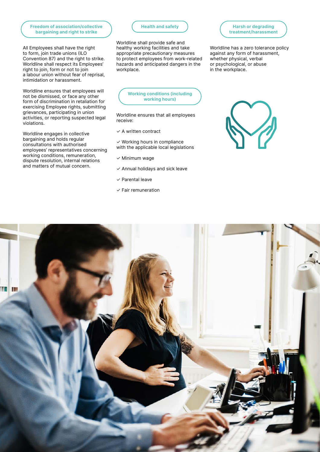#### **Freedom of association/collective bargaining and right to strike**

All Employees shall have the right to form, join trade unions (ILO Convention 87) and the right to strike. Worldline shall respect its Employees' right to join, form or not to join a labour union without fear of reprisal, intimidation or harassment.

Worldline ensures that employees will not be dismissed, or face any other form of discrimination in retaliation for exercising Employee rights, submitting grievances, participating in union activities, or reporting suspected legal violations.

Worldline engages in collective bargaining and holds regular consultations with authorised employees' representatives concerning working conditions, remuneration, dispute resolution, internal relations and matters of mutual concern.

#### **Health and safety**

Worldline shall provide safe and healthy working facilities and take appropriate precautionary measures to protect employees from work-related hazards and anticipated dangers in the workplace.

**Working conditions (including working hours)**

Worldline ensures that all employees receive:

 $\times$  A written contract

 $\checkmark$  Working hours in compliance with the applicable local legislations

- ✓ Minimum wage
- $\checkmark$  Annual holidays and sick leave
- ✓ Parental leave
- $\times$  Fair remuneration



**Harsh or degrading treatment/harassment**

Worldline has a zero tolerance policy against any form of harassment, whether physical, verbal or psychological, or abuse

in the workplace.

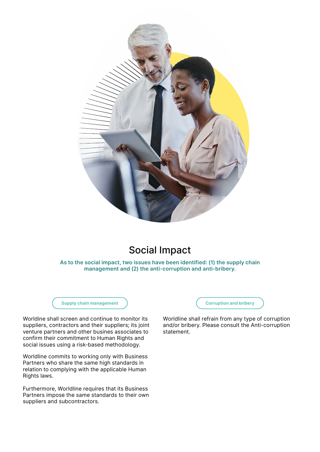

## Social Impact

**As to the social impact, two issues have been identified: (1) the supply chain management and (2) the anti-corruption and anti-bribery.**

**Supply chain management**

Worldine shall screen and continue to monitor its suppliers, contractors and their suppliers; its joint venture partners and other busines associates to confirm their commitment to Human Rights and social issues using a risk-based methodology.

Worldline commits to working only with Business Partners who share the same high standards in relation to complying with the applicable Human Rights laws.

Furthermore, Worldline requires that its Business Partners impose the same standards to their own suppliers and subcontractors.

**Corruption and bribery**

Worldline shall refrain from any type of corruption and/or bribery. Please consult the Anti-corruption statement.